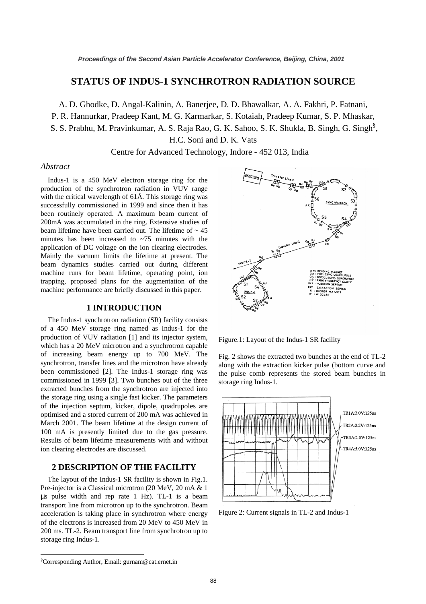# **STATUS OF INDUS-1 SYNCHROTRON RADIATION SOURCE**

A. D. Ghodke, D. Angal-Kalinin, A. Banerjee, D. D. Bhawalkar, A. A. Fakhri, P. Fatnani,

P. R. Hannurkar, Pradeep Kant, M. G. Karmarkar, S. Kotaiah, Pradeep Kumar, S. P. Mhaskar,

S. S. Prabhu, M. Pravinkumar, A. S. Raja Rao, G. K. Sahoo, S. K. Shukla, B. Singh, G. Singh§ ,

H.C. Soni and D. K. Vats

Centre for Advanced Technology, Indore - 452 013, India

### *Abstract*

Indus-1 is a 450 MeV electron storage ring for the production of the synchrotron radiation in VUV range with the critical wavelength of 61Å. This storage ring was successfully commissioned in 1999 and since then it has been routinely operated. A maximum beam current of 200mA was accumulated in the ring. Extensive studies of beam lifetime have been carried out. The lifetime of  $\sim$  45 minutes has been increased to  $\sim$ 75 minutes with the application of DC voltage on the ion clearing electrodes. Mainly the vacuum limits the lifetime at present. The beam dynamics studies carried out during different machine runs for beam lifetime, operating point, ion trapping, proposed plans for the augmentation of the machine performance are briefly discussed in this paper.

# **1 INTRODUCTION**

The Indus-1 synchrotron radiation (SR) facility consists of a 450 MeV storage ring named as Indus-1 for the production of VUV radiation [1] and its injector system, which has a 20 MeV microtron and a synchrotron capable of increasing beam energy up to 700 MeV. The synchrotron, transfer lines and the microtron have already been commissioned [2]. The Indus-1 storage ring was commissioned in 1999 [3]. Two bunches out of the three extracted bunches from the synchrotron are injected into the storage ring using a single fast kicker. The parameters of the injection septum, kicker, dipole, quadrupoles are optimised and a stored current of 200 mA was achieved in March 2001. The beam lifetime at the design current of 100 mA is presently limited due to the gas pressure. Results of beam lifetime measurements with and without ion clearing electrodes are discussed.

# **2 DESCRIPTION OF THE FACILITY**

The layout of the Indus-1 SR facility is shown in Fig.1. Pre-injector is a Classical microtron (20 MeV, 20 mA & 1 µs pulse width and rep rate 1 Hz). TL-1 is a beam transport line from microtron up to the synchrotron. Beam acceleration is taking place in synchrotron where energy of the electrons is increased from 20 MeV to 450 MeV in 200 ms. TL-2. Beam transport line from synchrotron up to storage ring Indus-1.



Figure.1: Layout of the Indus-1 SR facility

Fig. 2 shows the extracted two bunches at the end of TL-2 along with the extraction kicker pulse (bottom curve and the pulse comb represents the stored beam bunches in storage ring Indus-1.



Figure 2: Current signals in TL-2 and Indus-1

 $\overline{a}$ 

<sup>§</sup> Corresponding Author, Email: gurnam@cat.ernet.in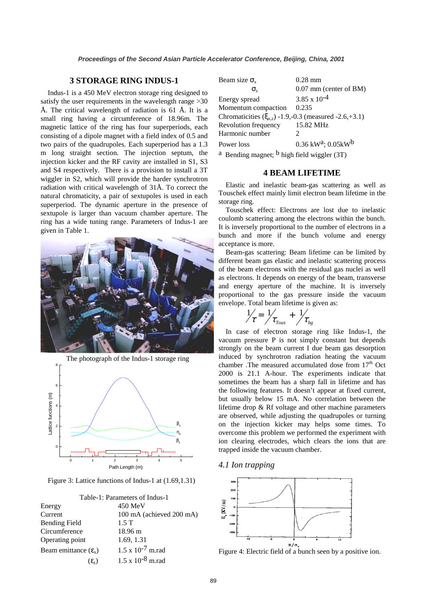# **3 STORAGE RING INDUS-1**

Indus-1 is a 450 MeV electron storage ring designed to satisfy the user requirements in the wavelength range  $>30$ Å. The critical wavelength of radiation is 61 Å. It is a small ring having a circumference of 18.96m. The magnetic lattice of the ring has four superperiods, each consisting of a dipole magnet with a field index of 0.5 and two pairs of the quadrupoles. Each superperiod has a 1.3 m long straight section. The injection septum, the injection kicker and the RF cavity are installed in S1, S3 and S4 respectively. There is a provision to install a 3T wiggler in S2, which will provide the harder synchrotron radiation with critical wavelength of 31Å. To correct the natural chromaticity, a pair of sextupoles is used in each superperiod. The dynamic aperture in the presence of sextupole is larger than vacuum chamber aperture. The ring has a wide tuning range. Parameters of Indus-1 are given in Table 1.



The photograph of the Indus-1 storage ring



Figure 3: Lattice functions of Indus-1 at (1.69,1.31)

| Table-1: Parameters of Indus-1   |                            |
|----------------------------------|----------------------------|
| Energy                           | $450$ MeV                  |
| Current                          | 100 mA (achieved 200 mA)   |
| <b>Bending Field</b>             | $1.5$ T                    |
| Circumference                    | 18.96 m                    |
| Operating point                  | 1.69, 1.31                 |
| Beam emittance $(\varepsilon_x)$ | $1.5 \times 10^{-7}$ m.rad |
| $(\epsilon_{\nu})$               | $1.5 \times 10^{-8}$ m.rad |

| Beam size $\sigma_{x}$                                                                  | $0.28$ mm                                                 |  |
|-----------------------------------------------------------------------------------------|-----------------------------------------------------------|--|
| σ,                                                                                      | $0.07$ mm (center of BM)                                  |  |
| Energy spread                                                                           | $3.85 \times 10^{-4}$                                     |  |
| Momentum compaction                                                                     | 0.235                                                     |  |
| Chromaticities $(\xi_{x,z})$ -1.9,-0.3 (measured -2.6,+3.1)                             |                                                           |  |
| Revolution frequency                                                                    | 15.82 MHz                                                 |  |
| Harmonic number                                                                         | $\mathcal{D}_{\mathcal{L}}$                               |  |
| Power loss                                                                              | $0.36 \text{ kW}^2$ ; $0.05 \text{k} \text{W}^{\text{b}}$ |  |
| $\alpha$ D and $\alpha$ and $\alpha$ and $\beta$ and $\alpha$ and $\alpha$ and $\alpha$ |                                                           |  |

<sup>a</sup> Bending magnet;  $\sigma$  high field wiggler (3T)

### **4 BEAM LIFETIME**

Elastic and inelastic beam-gas scattering as well as Touschek effect mainly limit electron beam lifetime in the storage ring.

Touschek effect: Electrons are lost due to inelastic coulomb scattering among the electrons within the bunch. It is inversely proportional to the number of electrons in a bunch and more if the bunch volume and energy acceptance is more.

Beam-gas scattering: Beam lifetime can be limited by different beam gas elastic and inelastic scattering process of the beam electrons with the residual gas nuclei as well as electrons. It depends on energy of the beam, transverse and energy aperture of the machine. It is inversely proportional to the gas pressure inside the vacuum envelope. Total beam lifetime is given as:

$$
\frac{1}{\tau} = \frac{1}{\tau_{\text{Tous}}} + \frac{1}{\tau_{\text{bg}}}
$$

In case of electron storage ring like Indus-1, the vacuum pressure P is not simply constant but depends strongly on the beam current I due beam gas desorption induced by synchrotron radiation heating the vacuum chamber .The measured accumulated dose from  $17<sup>th</sup>$  Oct 2000 is 21.1 A-hour. The experiments indicate that sometimes the beam has a sharp fall in lifetime and has the following features. It doesn't appear at fixed current, but usually below 15 mA. No correlation between the lifetime drop & Rf voltage and other machine parameters are observed, while adjusting the quadrupoles or turning on the injection kicker may helps some times. To overcome this problem we performed the experiment with ion clearing electrodes, which clears the ions that are trapped inside the vacuum chamber.

*4.1 Ion trapping* 



Figure 4: Electric field of a bunch seen by a positive ion.